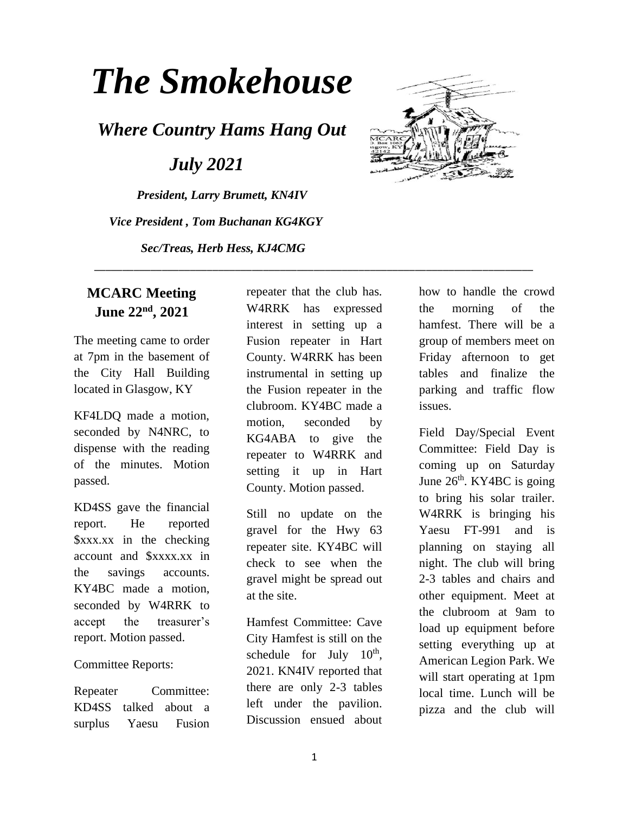# *The Smokehouse*

*Where Country Hams Hang Out*

 *July 2021*

*President, Larry Brumett, KN4IV Vice President , Tom Buchanan KG4KGY Sec/Treas, Herb Hess, KJ4CMG*



#### **MCARC Meeting June 22nd, 2021**

The meeting came to order at 7pm in the basement of the City Hall Building located in Glasgow, KY

KF4LDQ made a motion, seconded by N4NRC, to dispense with the reading of the minutes. Motion passed.

KD4SS gave the financial report. He reported \$xxx.xx in the checking account and \$xxxx.xx in the savings accounts. KY4BC made a motion, seconded by W4RRK to accept the treasurer's report. Motion passed.

#### Committee Reports:

Repeater Committee: KD4SS talked about a surplus Yaesu Fusion

repeater that the club has. W4RRK has expressed interest in setting up a Fusion repeater in Hart County. W4RRK has been instrumental in setting up the Fusion repeater in the clubroom. KY4BC made a motion, seconded by KG4ABA to give the repeater to W4RRK and setting it up in Hart County. Motion passed.

\_\_\_\_\_\_\_\_\_\_\_\_\_\_\_\_\_\_\_\_\_\_\_\_\_\_\_\_\_\_\_\_\_\_\_\_\_\_\_\_\_\_\_\_\_\_\_\_\_\_\_\_\_\_\_\_\_\_\_\_\_\_\_\_\_\_\_\_\_\_\_\_\_\_\_\_\_\_

Still no update on the gravel for the Hwy 63 repeater site. KY4BC will check to see when the gravel might be spread out at the site.

Hamfest Committee: Cave City Hamfest is still on the schedule for July  $10^{th}$ , 2021. KN4IV reported that there are only 2-3 tables left under the pavilion. Discussion ensued about

how to handle the crowd the morning of the hamfest. There will be a group of members meet on Friday afternoon to get tables and finalize the parking and traffic flow issues.

Field Day/Special Event Committee: Field Day is coming up on Saturday June  $26<sup>th</sup>$ . KY4BC is going to bring his solar trailer. W4RRK is bringing his Yaesu FT-991 and is planning on staying all night. The club will bring 2-3 tables and chairs and other equipment. Meet at the clubroom at 9am to load up equipment before setting everything up at American Legion Park. We will start operating at 1pm local time. Lunch will be pizza and the club will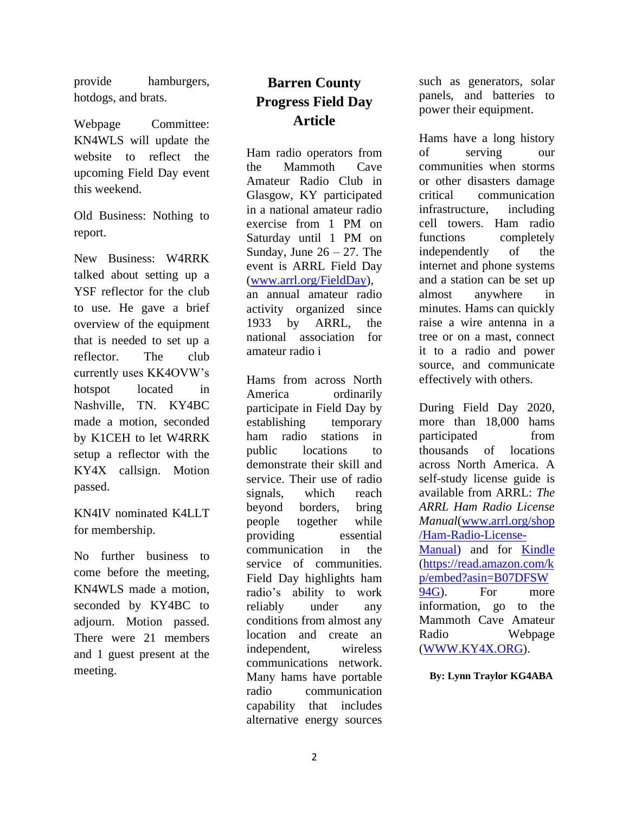provide hamburgers, hotdogs, and brats.

Webpage Committee: KN4WLS will update the website to reflect the upcoming Field Day event this weekend.

Old Business: Nothing to report.

New Business: W4RRK talked about setting up a YSF reflector for the club to use. He gave a brief overview of the equipment that is needed to set up a reflector. The club currently uses KK4OVW's hotspot located in Nashville, TN. KY4BC made a motion, seconded by K1CEH to let W4RRK setup a reflector with the KY4X callsign. Motion passed.

KN4IV nominated K4LLT for membership.

No further business to come before the meeting, KN4WLS made a motion, seconded by KY4BC to adjourn. Motion passed. There were 21 members and 1 guest present at the meeting.

## **Barren County Progress Field Day Article**

Ham radio operators from the Mammoth Cave Amateur Radio Club in Glasgow, KY participated in a national amateur radio exercise from 1 PM on Saturday until 1 PM on Sunday, June  $26 - 27$ . The event is ARRL Field Day [\(www.arrl.org/FieldDay\)](http://www.arrl.org/FieldDay), an annual amateur radio activity organized since 1933 by ARRL, the national association for amateur radio i

Hams from across North America ordinarily participate in Field Day by establishing temporary ham radio stations in public locations to demonstrate their skill and service. Their use of radio signals, which reach beyond borders, bring people together while providing essential communication in the service of communities. Field Day highlights ham radio's ability to work reliably under any conditions from almost any location and create an independent, wireless communications network. Many hams have portable radio communication capability that includes alternative energy sources

such as generators, solar panels, and batteries to power their equipment.

Hams have a long history of serving our communities when storms or other disasters damage critical communication infrastructure, including cell towers. Ham radio functions completely independently of the internet and phone systems and a station can be set up almost anywhere in minutes. Hams can quickly raise a wire antenna in a tree or on a mast, connect it to a radio and power source, and communicate effectively with others.

During Field Day 2020, more than 18,000 hams participated from thousands of locations across North America. A self-study license guide is available from ARRL: *The ARRL Ham Radio License Manual*[\(www.arrl.org/shop](http://www.arrl.org/shop/Ham-Radio-License-Manual) [/Ham-Radio-License-](http://www.arrl.org/shop/Ham-Radio-License-Manual)[Manual\)](http://www.arrl.org/shop/Ham-Radio-License-Manual) and for [Kindle](https://read.amazon.com/kp/embed?asin=B07DFSW94G) [\(https://read.amazon.com/k](https://read.amazon.com/kp/embed?asin=B07DFSW94G) [p/embed?asin=B07DFSW](https://read.amazon.com/kp/embed?asin=B07DFSW94G) [94G\)](https://read.amazon.com/kp/embed?asin=B07DFSW94G). For more information, go to the Mammoth Cave Amateur Radio Webpage [\(WWW.KY4X.ORG\)](http://www.ky4x.org/).

 **By: Lynn Traylor KG4ABA**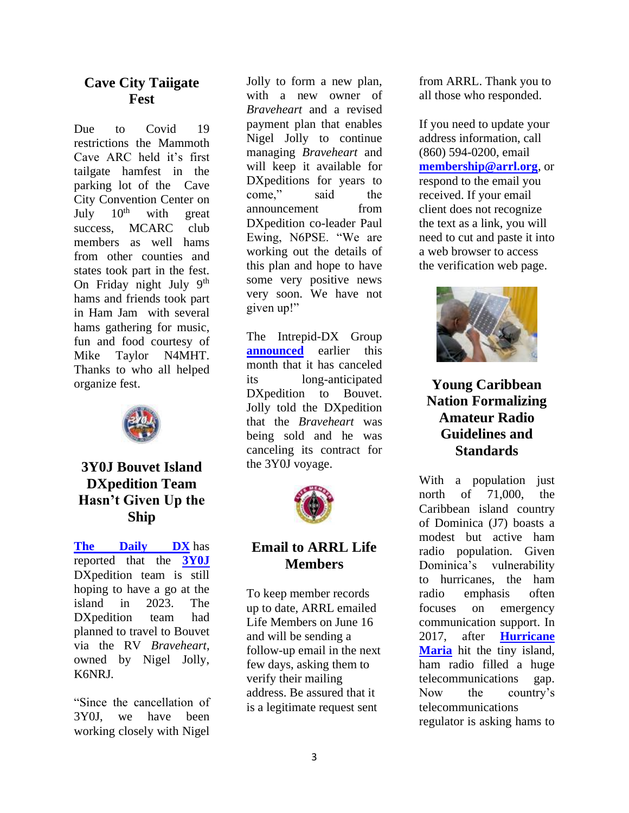#### **Cave City Taiigate Fest**

Due to Covid 19 restrictions the Mammoth Cave ARC held it's first tailgate hamfest in the parking lot of the Cave City Convention Center on<br>July  $10^{th}$  with great July  $10^{th}$  with great success, MCARC club members as well hams from other counties and states took part in the fest. On Friday night July  $9<sup>th</sup>$ hams and friends took part in Ham Jam with several hams gathering for music, fun and food courtesy of Mike Taylor N4MHT. Thanks to who all helped organize fest.



#### **3Y0J Bouvet Island DXpedition Team Hasn't Given Up the Ship**

**[The Daily DX](http://www.dailydx.com/)** has reported that the **[3Y0J](https://3y0j.com/)** DXpedition team is still hoping to have a go at the island in 2023. The DXpedition team had planned to travel to Bouvet via the RV *Braveheart*, owned by Nigel Jolly, K6NRJ.

"Since the cancellation of 3Y0J, we have been working closely with Nigel

Jolly to form a new plan, with a new owner of *Braveheart* and a revised payment plan that enables Nigel Jolly to continue managing *Braveheart* and will keep it available for DXpeditions for years to come," said the announcement from DXpedition co-leader Paul Ewing, N6PSE. "We are working out the details of this plan and hope to have some very positive news very soon. We have not given up!"

The Intrepid-DX Group **[announced](http://www.arrl.org/news/3y0j-dxpedition-to-bouvet-island-cancelled)** earlier this month that it has canceled its long-anticipated DXpedition to Bouvet. Jolly told the DXpedition that the *Braveheart* was being sold and he was canceling its contract for the 3Y0J voyage.



#### **Email to ARRL Life Members**

To keep member records up to date, ARRL emailed Life Members on June 16 and will be sending a follow-up email in the next few days, asking them to verify their mailing address. Be assured that it is a legitimate request sent

from ARRL. Thank you to all those who responded.

If you need to update your address information, call (860) 594-0200, email **[membership@arrl.org](mailto:membership@arrl.org)**, or respond to the email you received. If your email client does not recognize the text as a link, you will need to cut and paste it into a web browser to access the verification web page.



### **Young Caribbean Nation Formalizing Amateur Radio Guidelines and Standards**

With a population just north of 71,000, the Caribbean island country of Dominica (J7) boasts a modest but active ham radio population. Given Dominica's vulnerability to hurricanes, the ham radio emphasis often focuses on emergency communication support. In 2017, after **[Hurricane](http://www.arrl.org/news/global-effort-under-way-to-restore-dominica-s-amateur-radio-capabilities)**  [Maria](http://www.arrl.org/news/global-effort-under-way-to-restore-dominica-s-amateur-radio-capabilities) hit the tiny island, ham radio filled a huge telecommunications gap. Now the country's telecommunications regulator is asking hams to